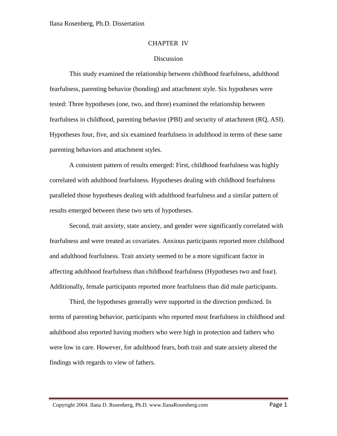# CHAPTER IV

# Discussion

This study examined the relationship between childhood fearfulness, adulthood fearfulness, parenting behavior (bonding) and attachment style. Six hypotheses were tested: Three hypotheses (one, two, and three) examined the relationship between fearfulness in childhood, parenting behavior (PBI) and security of attachment (RQ, ASI). Hypotheses four, five, and six examined fearfulness in adulthood in terms of these same parenting behaviors and attachment styles.

A consistent pattern of results emerged: First, childhood fearfulness was highly correlated with adulthood fearfulness. Hypotheses dealing with childhood fearfulness paralleled those hypotheses dealing with adulthood fearfulness and a similar pattern of results emerged between these two sets of hypotheses.

Second, trait anxiety, state anxiety, and gender were significantly correlated with fearfulness and were treated as covariates. Anxious participants reported more childhood and adulthood fearfulness. Trait anxiety seemed to be a more significant factor in affecting adulthood fearfulness than childhood fearfulness (Hypotheses two and four). Additionally, female participants reported more fearfulness than did male participants.

Third, the hypotheses generally were supported in the direction predicted. In terms of parenting behavior, participants who reported most fearfulness in childhood and adulthood also reported having mothers who were high in protection and fathers who were low in care. However, for adulthood fears, both trait and state anxiety altered the findings with regards to view of fathers.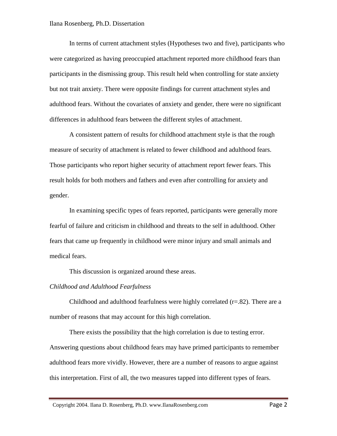In terms of current attachment styles (Hypotheses two and five), participants who were categorized as having preoccupied attachment reported more childhood fears than participants in the dismissing group. This result held when controlling for state anxiety but not trait anxiety. There were opposite findings for current attachment styles and adulthood fears. Without the covariates of anxiety and gender, there were no significant differences in adulthood fears between the different styles of attachment.

A consistent pattern of results for childhood attachment style is that the rough measure of security of attachment is related to fewer childhood and adulthood fears. Those participants who report higher security of attachment report fewer fears. This result holds for both mothers and fathers and even after controlling for anxiety and gender.

In examining specific types of fears reported, participants were generally more fearful of failure and criticism in childhood and threats to the self in adulthood. Other fears that came up frequently in childhood were minor injury and small animals and medical fears.

This discussion is organized around these areas.

## *Childhood and Adulthood Fearfulness*

Childhood and adulthood fearfulness were highly correlated  $(r=.82)$ . There are a number of reasons that may account for this high correlation.

There exists the possibility that the high correlation is due to testing error. Answering questions about childhood fears may have primed participants to remember adulthood fears more vividly. However, there are a number of reasons to argue against this interpretation. First of all, the two measures tapped into different types of fears.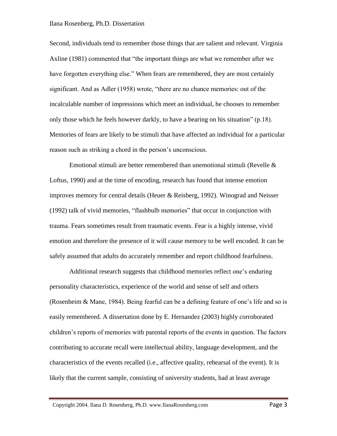Second, individuals tend to remember those things that are salient and relevant. Virginia Axline (1981) commented that "the important things are what we remember after we have forgotten everything else." When fears are remembered, they are most certainly significant. And as Adler (1958) wrote, "there are no chance memories: out of the incalculable number of impressions which meet an individual, he chooses to remember only those which he feels however darkly, to have a bearing on his situation" (p.18). Memories of fears are likely to be stimuli that have affected an individual for a particular reason such as striking a chord in the person's unconscious.

Emotional stimuli are better remembered than unemotional stimuli (Revelle & Loftus, 1990) and at the time of encoding, research has found that intense emotion improves memory for central details (Heuer & Reisberg, 1992). Winograd and Neisser (1992) talk of vivid memories, "flashbulb memories" that occur in conjunction with trauma. Fears sometimes result from traumatic events. Fear is a highly intense, vivid emotion and therefore the presence of it will cause memory to be well encoded. It can be safely assumed that adults do accurately remember and report childhood fearfulness.

Additional research suggests that childhood memories reflect one's enduring personality characteristics, experience of the world and sense of self and others (Rosenheim & Mane, 1984). Being fearful can be a defining feature of one's life and so is easily remembered. A dissertation done by E. Hernandez (2003) highly corroborated children's reports of memories with parental reports of the events in question. The factors contributing to accurate recall were intellectual ability, language development, and the characteristics of the events recalled (i.e., affective quality, rehearsal of the event). It is likely that the current sample, consisting of university students, had at least average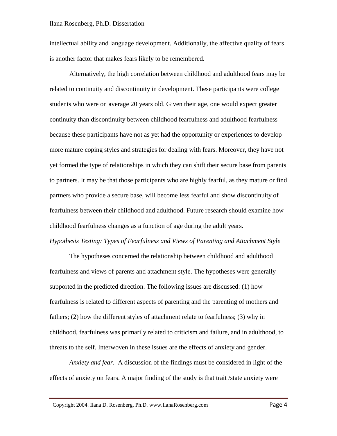intellectual ability and language development. Additionally, the affective quality of fears is another factor that makes fears likely to be remembered.

Alternatively, the high correlation between childhood and adulthood fears may be related to continuity and discontinuity in development. These participants were college students who were on average 20 years old. Given their age, one would expect greater continuity than discontinuity between childhood fearfulness and adulthood fearfulness because these participants have not as yet had the opportunity or experiences to develop more mature coping styles and strategies for dealing with fears. Moreover, they have not yet formed the type of relationships in which they can shift their secure base from parents to partners. It may be that those participants who are highly fearful, as they mature or find partners who provide a secure base, will become less fearful and show discontinuity of fearfulness between their childhood and adulthood. Future research should examine how childhood fearfulness changes as a function of age during the adult years.

## *Hypothesis Testing: Types of Fearfulness and Views of Parenting and Attachment Style*

The hypotheses concerned the relationship between childhood and adulthood fearfulness and views of parents and attachment style. The hypotheses were generally supported in the predicted direction. The following issues are discussed: (1) how fearfulness is related to different aspects of parenting and the parenting of mothers and fathers; (2) how the different styles of attachment relate to fearfulness; (3) why in childhood, fearfulness was primarily related to criticism and failure, and in adulthood, to threats to the self. Interwoven in these issues are the effects of anxiety and gender.

*Anxiety and fear*. A discussion of the findings must be considered in light of the effects of anxiety on fears. A major finding of the study is that trait /state anxiety were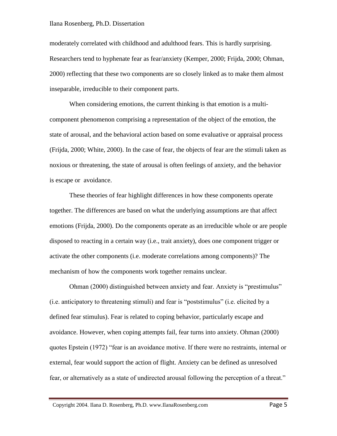moderately correlated with childhood and adulthood fears. This is hardly surprising. Researchers tend to hyphenate fear as fear/anxiety (Kemper, 2000; Frijda, 2000; Ohman, 2000) reflecting that these two components are so closely linked as to make them almost inseparable, irreducible to their component parts.

When considering emotions, the current thinking is that emotion is a multicomponent phenomenon comprising a representation of the object of the emotion, the state of arousal, and the behavioral action based on some evaluative or appraisal process (Frijda, 2000; White, 2000). In the case of fear, the objects of fear are the stimuli taken as noxious or threatening, the state of arousal is often feelings of anxiety, and the behavior is escape or avoidance.

These theories of fear highlight differences in how these components operate together. The differences are based on what the underlying assumptions are that affect emotions (Frijda, 2000). Do the components operate as an irreducible whole or are people disposed to reacting in a certain way (i.e., trait anxiety), does one component trigger or activate the other components (i.e. moderate correlations among components)? The mechanism of how the components work together remains unclear.

Ohman (2000) distinguished between anxiety and fear. Anxiety is "prestimulus" (i.e. anticipatory to threatening stimuli) and fear is "poststimulus" (i.e. elicited by a defined fear stimulus). Fear is related to coping behavior, particularly escape and avoidance. However, when coping attempts fail, fear turns into anxiety. Ohman (2000) quotes Epstein (1972) "fear is an avoidance motive. If there were no restraints, internal or external, fear would support the action of flight. Anxiety can be defined as unresolved fear, or alternatively as a state of undirected arousal following the perception of a threat."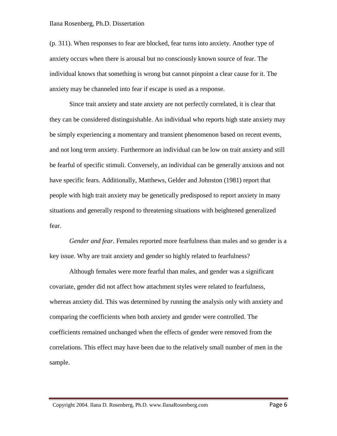(p. 311). When responses to fear are blocked, fear turns into anxiety. Another type of anxiety occurs when there is arousal but no consciously known source of fear. The individual knows that something is wrong but cannot pinpoint a clear cause for it. The anxiety may be channeled into fear if escape is used as a response.

Since trait anxiety and state anxiety are not perfectly correlated, it is clear that they can be considered distinguishable. An individual who reports high state anxiety may be simply experiencing a momentary and transient phenomenon based on recent events, and not long term anxiety. Furthermore an individual can be low on trait anxiety and still be fearful of specific stimuli. Conversely, an individual can be generally anxious and not have specific fears. Additionally, Matthews, Gelder and Johnston (1981) report that people with high trait anxiety may be genetically predisposed to report anxiety in many situations and generally respond to threatening situations with heightened generalized fear.

*Gender and fear*. Females reported more fearfulness than males and so gender is a key issue. Why are trait anxiety and gender so highly related to fearfulness?

Although females were more fearful than males, and gender was a significant covariate, gender did not affect how attachment styles were related to fearfulness, whereas anxiety did. This was determined by running the analysis only with anxiety and comparing the coefficients when both anxiety and gender were controlled. The coefficients remained unchanged when the effects of gender were removed from the correlations. This effect may have been due to the relatively small number of men in the sample.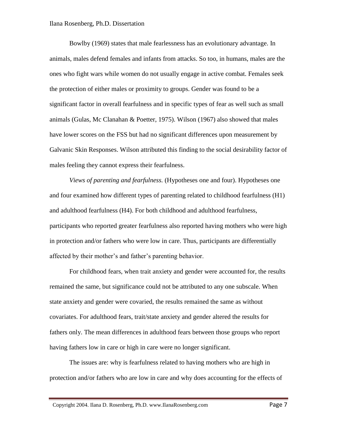Bowlby (1969) states that male fearlessness has an evolutionary advantage. In animals, males defend females and infants from attacks. So too, in humans, males are the ones who fight wars while women do not usually engage in active combat. Females seek the protection of either males or proximity to groups. Gender was found to be a significant factor in overall fearfulness and in specific types of fear as well such as small animals (Gulas, Mc Clanahan & Poetter, 1975). Wilson (1967) also showed that males have lower scores on the FSS but had no significant differences upon measurement by Galvanic Skin Responses. Wilson attributed this finding to the social desirability factor of males feeling they cannot express their fearfulness.

*Views of parenting and fearfulness.* (Hypotheses one and four). Hypotheses one and four examined how different types of parenting related to childhood fearfulness (H1) and adulthood fearfulness (H4). For both childhood and adulthood fearfulness, participants who reported greater fearfulness also reported having mothers who were high in protection and/or fathers who were low in care. Thus, participants are differentially affected by their mother's and father's parenting behavior.

For childhood fears, when trait anxiety and gender were accounted for, the results remained the same, but significance could not be attributed to any one subscale. When state anxiety and gender were covaried, the results remained the same as without covariates. For adulthood fears, trait/state anxiety and gender altered the results for fathers only. The mean differences in adulthood fears between those groups who report having fathers low in care or high in care were no longer significant.

The issues are: why is fearfulness related to having mothers who are high in protection and/or fathers who are low in care and why does accounting for the effects of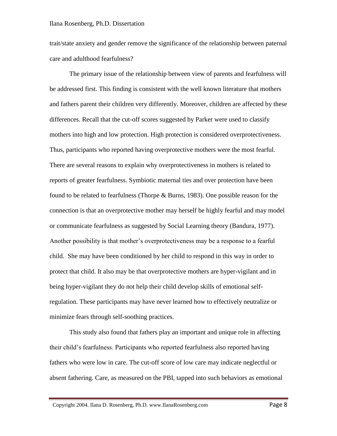trait/state anxiety and gender remove the significance of the relationship between paternal care and adulthood fearfulness?

The primary issue of the relationship between view of parents and fearfulness will be addressed first. This finding is consistent with the well known literature that mothers and fathers parent their children very differently. Moreover, children are affected by these differences. Recall that the cut-off scores suggested by Parker were used to classify mothers into high and low protection. High protection is considered overprotectiveness. Thus, participants who reported having overprotective mothers were the most fearful. There are several reasons to explain why overprotectiveness in mothers is related to reports of greater fearfulness. Symbiotic maternal ties and over protection have been found to be related to fearfulness (Thorpe & Burns, 1983). One possible reason for the connection is that an overprotective mother may herself be highly fearful and may model or communicate fearfulness as suggested by Social Learning theory (Bandura, 1977). Another possibility is that mother's overprotectiveness may be a response to a fearful child. She may have been conditioned by her child to respond in this way in order to protect that child. It also may be that overprotective mothers are hyper-vigilant and in being hyper-vigilant they do not help their child develop skills of emotional selfregulation. These participants may have never learned how to effectively neutralize or minimize fears through self-soothing practices.

This study also found that fathers play an important and unique role in affecting their child's fearfulness. Participants who reported fearfulness also reported having fathers who were low in care. The cut-off score of low care may indicate neglectful or absent fathering. Care, as measured on the PBI, tapped into such behaviors as emotional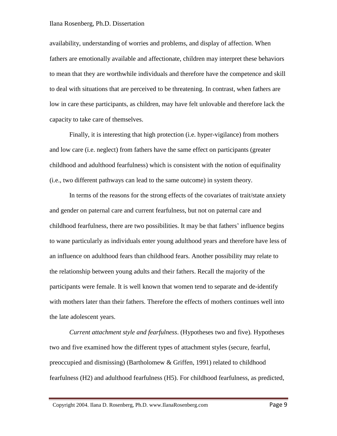availability, understanding of worries and problems, and display of affection. When fathers are emotionally available and affectionate, children may interpret these behaviors to mean that they are worthwhile individuals and therefore have the competence and skill to deal with situations that are perceived to be threatening. In contrast, when fathers are low in care these participants, as children, may have felt unlovable and therefore lack the capacity to take care of themselves.

Finally, it is interesting that high protection (i.e. hyper-vigilance) from mothers and low care (i.e. neglect) from fathers have the same effect on participants (greater childhood and adulthood fearfulness) which is consistent with the notion of equifinality (i.e., two different pathways can lead to the same outcome) in system theory.

In terms of the reasons for the strong effects of the covariates of trait/state anxiety and gender on paternal care and current fearfulness, but not on paternal care and childhood fearfulness, there are two possibilities. It may be that fathers' influence begins to wane particularly as individuals enter young adulthood years and therefore have less of an influence on adulthood fears than childhood fears. Another possibility may relate to the relationship between young adults and their fathers. Recall the majority of the participants were female. It is well known that women tend to separate and de-identify with mothers later than their fathers. Therefore the effects of mothers continues well into the late adolescent years.

*Current attachment style and fearfulness*. (Hypotheses two and five)*.* Hypotheses two and five examined how the different types of attachment styles (secure, fearful, preoccupied and dismissing) (Bartholomew & Griffen, 1991) related to childhood fearfulness (H2) and adulthood fearfulness (H5). For childhood fearfulness, as predicted,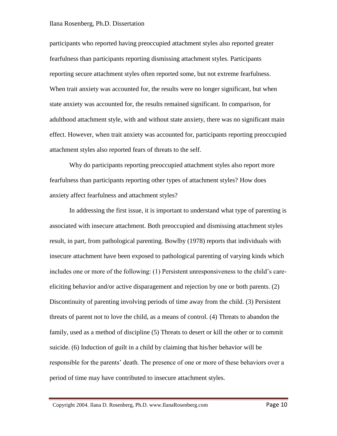participants who reported having preoccupied attachment styles also reported greater fearfulness than participants reporting dismissing attachment styles. Participants reporting secure attachment styles often reported some, but not extreme fearfulness. When trait anxiety was accounted for, the results were no longer significant, but when state anxiety was accounted for, the results remained significant. In comparison, for adulthood attachment style, with and without state anxiety, there was no significant main effect. However, when trait anxiety was accounted for, participants reporting preoccupied attachment styles also reported fears of threats to the self.

Why do participants reporting preoccupied attachment styles also report more fearfulness than participants reporting other types of attachment styles? How does anxiety affect fearfulness and attachment styles?

In addressing the first issue, it is important to understand what type of parenting is associated with insecure attachment. Both preoccupied and dismissing attachment styles result, in part, from pathological parenting. Bowlby (1978) reports that individuals with insecure attachment have been exposed to pathological parenting of varying kinds which includes one or more of the following: (1) Persistent unresponsiveness to the child's careeliciting behavior and/or active disparagement and rejection by one or both parents. (2) Discontinuity of parenting involving periods of time away from the child. (3) Persistent threats of parent not to love the child, as a means of control. (4) Threats to abandon the family, used as a method of discipline (5) Threats to desert or kill the other or to commit suicide. (6) Induction of guilt in a child by claiming that his/her behavior will be responsible for the parents' death. The presence of one or more of these behaviors over a period of time may have contributed to insecure attachment styles.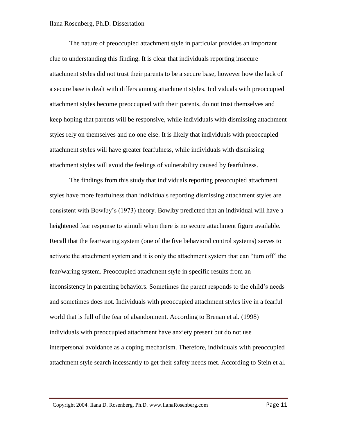The nature of preoccupied attachment style in particular provides an important clue to understanding this finding. It is clear that individuals reporting insecure attachment styles did not trust their parents to be a secure base, however how the lack of a secure base is dealt with differs among attachment styles. Individuals with preoccupied attachment styles become preoccupied with their parents, do not trust themselves and keep hoping that parents will be responsive, while individuals with dismissing attachment styles rely on themselves and no one else. It is likely that individuals with preoccupied attachment styles will have greater fearfulness, while individuals with dismissing attachment styles will avoid the feelings of vulnerability caused by fearfulness.

The findings from this study that individuals reporting preoccupied attachment styles have more fearfulness than individuals reporting dismissing attachment styles are consistent with Bowlby's (1973) theory. Bowlby predicted that an individual will have a heightened fear response to stimuli when there is no secure attachment figure available. Recall that the fear/waring system (one of the five behavioral control systems) serves to activate the attachment system and it is only the attachment system that can "turn off" the fear/waring system. Preoccupied attachment style in specific results from an inconsistency in parenting behaviors. Sometimes the parent responds to the child's needs and sometimes does not. Individuals with preoccupied attachment styles live in a fearful world that is full of the fear of abandonment. According to Brenan et al. (1998) individuals with preoccupied attachment have anxiety present but do not use interpersonal avoidance as a coping mechanism. Therefore, individuals with preoccupied attachment style search incessantly to get their safety needs met. According to Stein et al.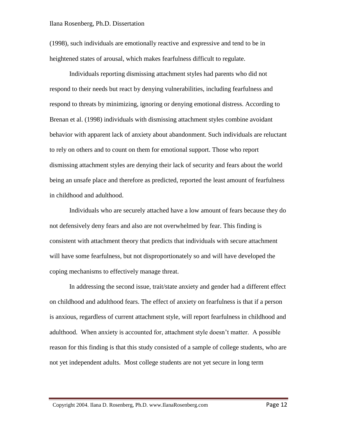(1998), such individuals are emotionally reactive and expressive and tend to be in heightened states of arousal, which makes fearfulness difficult to regulate.

Individuals reporting dismissing attachment styles had parents who did not respond to their needs but react by denying vulnerabilities, including fearfulness and respond to threats by minimizing, ignoring or denying emotional distress. According to Brenan et al. (1998) individuals with dismissing attachment styles combine avoidant behavior with apparent lack of anxiety about abandonment. Such individuals are reluctant to rely on others and to count on them for emotional support. Those who report dismissing attachment styles are denying their lack of security and fears about the world being an unsafe place and therefore as predicted, reported the least amount of fearfulness in childhood and adulthood.

Individuals who are securely attached have a low amount of fears because they do not defensively deny fears and also are not overwhelmed by fear. This finding is consistent with attachment theory that predicts that individuals with secure attachment will have some fearfulness, but not disproportionately so and will have developed the coping mechanisms to effectively manage threat.

In addressing the second issue, trait/state anxiety and gender had a different effect on childhood and adulthood fears. The effect of anxiety on fearfulness is that if a person is anxious, regardless of current attachment style, will report fearfulness in childhood and adulthood. When anxiety is accounted for, attachment style doesn't matter. A possible reason for this finding is that this study consisted of a sample of college students, who are not yet independent adults. Most college students are not yet secure in long term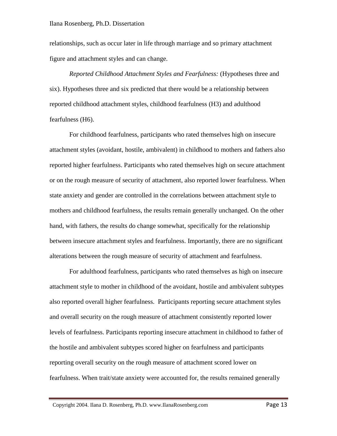relationships, such as occur later in life through marriage and so primary attachment figure and attachment styles and can change.

*Reported Childhood Attachment Styles and Fearfulness:* (Hypotheses three and six). Hypotheses three and six predicted that there would be a relationship between reported childhood attachment styles, childhood fearfulness (H3) and adulthood fearfulness (H6).

For childhood fearfulness, participants who rated themselves high on insecure attachment styles (avoidant, hostile, ambivalent) in childhood to mothers and fathers also reported higher fearfulness. Participants who rated themselves high on secure attachment or on the rough measure of security of attachment, also reported lower fearfulness. When state anxiety and gender are controlled in the correlations between attachment style to mothers and childhood fearfulness, the results remain generally unchanged. On the other hand, with fathers, the results do change somewhat, specifically for the relationship between insecure attachment styles and fearfulness. Importantly, there are no significant alterations between the rough measure of security of attachment and fearfulness.

For adulthood fearfulness, participants who rated themselves as high on insecure attachment style to mother in childhood of the avoidant, hostile and ambivalent subtypes also reported overall higher fearfulness. Participants reporting secure attachment styles and overall security on the rough measure of attachment consistently reported lower levels of fearfulness. Participants reporting insecure attachment in childhood to father of the hostile and ambivalent subtypes scored higher on fearfulness and participants reporting overall security on the rough measure of attachment scored lower on fearfulness. When trait/state anxiety were accounted for, the results remained generally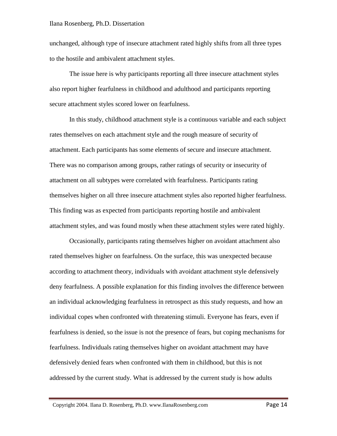unchanged, although type of insecure attachment rated highly shifts from all three types to the hostile and ambivalent attachment styles.

The issue here is why participants reporting all three insecure attachment styles also report higher fearfulness in childhood and adulthood and participants reporting secure attachment styles scored lower on fearfulness.

In this study, childhood attachment style is a continuous variable and each subject rates themselves on each attachment style and the rough measure of security of attachment. Each participants has some elements of secure and insecure attachment. There was no comparison among groups, rather ratings of security or insecurity of attachment on all subtypes were correlated with fearfulness. Participants rating themselves higher on all three insecure attachment styles also reported higher fearfulness. This finding was as expected from participants reporting hostile and ambivalent attachment styles, and was found mostly when these attachment styles were rated highly.

Occasionally, participants rating themselves higher on avoidant attachment also rated themselves higher on fearfulness. On the surface, this was unexpected because according to attachment theory, individuals with avoidant attachment style defensively deny fearfulness. A possible explanation for this finding involves the difference between an individual acknowledging fearfulness in retrospect as this study requests, and how an individual copes when confronted with threatening stimuli. Everyone has fears, even if fearfulness is denied, so the issue is not the presence of fears, but coping mechanisms for fearfulness. Individuals rating themselves higher on avoidant attachment may have defensively denied fears when confronted with them in childhood, but this is not addressed by the current study. What is addressed by the current study is how adults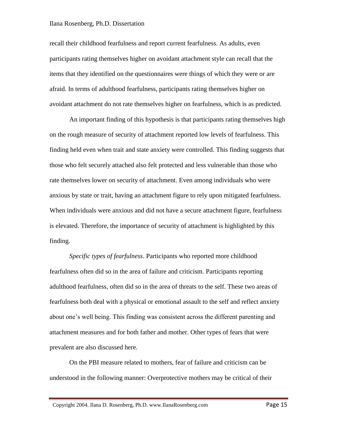recall their childhood fearfulness and report current fearfulness. As adults, even participants rating themselves higher on avoidant attachment style can recall that the items that they identified on the questionnaires were things of which they were or are afraid. In terms of adulthood fearfulness, participants rating themselves higher on avoidant attachment do not rate themselves higher on fearfulness, which is as predicted.

An important finding of this hypothesis is that participants rating themselves high on the rough measure of security of attachment reported low levels of fearfulness. This finding held even when trait and state anxiety were controlled. This finding suggests that those who felt securely attached also felt protected and less vulnerable than those who rate themselves lower on security of attachment. Even among individuals who were anxious by state or trait, having an attachment figure to rely upon mitigated fearfulness. When individuals were anxious and did not have a secure attachment figure, fearfulness is elevated. Therefore, the importance of security of attachment is highlighted by this finding.

*Specific types of fearfulness*. Participants who reported more childhood fearfulness often did so in the area of failure and criticism. Participants reporting adulthood fearfulness, often did so in the area of threats to the self. These two areas of fearfulness both deal with a physical or emotional assault to the self and reflect anxiety about one's well being. This finding was consistent across the different parenting and attachment measures and for both father and mother. Other types of fears that were prevalent are also discussed here.

On the PBI measure related to mothers, fear of failure and criticism can be understood in the following manner: Overprotective mothers may be critical of their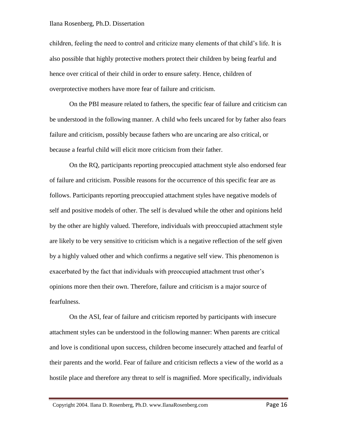children, feeling the need to control and criticize many elements of that child's life. It is also possible that highly protective mothers protect their children by being fearful and hence over critical of their child in order to ensure safety. Hence, children of overprotective mothers have more fear of failure and criticism.

On the PBI measure related to fathers, the specific fear of failure and criticism can be understood in the following manner. A child who feels uncared for by father also fears failure and criticism, possibly because fathers who are uncaring are also critical, or because a fearful child will elicit more criticism from their father.

On the RQ, participants reporting preoccupied attachment style also endorsed fear of failure and criticism. Possible reasons for the occurrence of this specific fear are as follows. Participants reporting preoccupied attachment styles have negative models of self and positive models of other. The self is devalued while the other and opinions held by the other are highly valued. Therefore, individuals with preoccupied attachment style are likely to be very sensitive to criticism which is a negative reflection of the self given by a highly valued other and which confirms a negative self view. This phenomenon is exacerbated by the fact that individuals with preoccupied attachment trust other's opinions more then their own. Therefore, failure and criticism is a major source of fearfulness.

On the ASI, fear of failure and criticism reported by participants with insecure attachment styles can be understood in the following manner: When parents are critical and love is conditional upon success, children become insecurely attached and fearful of their parents and the world. Fear of failure and criticism reflects a view of the world as a hostile place and therefore any threat to self is magnified. More specifically, individuals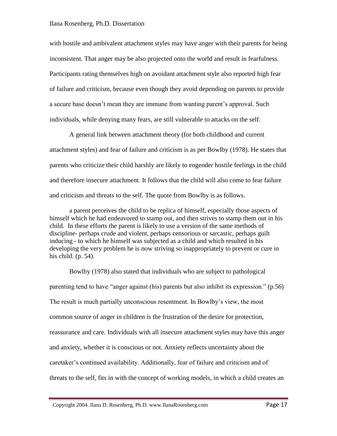with hostile and ambivalent attachment styles may have anger with their parents for being inconsistent. That anger may be also projected onto the world and result in fearfulness. Participants rating themselves high on avoidant attachment style also reported high fear of failure and criticism, because even though they avoid depending on parents to provide a secure base doesn't mean they are immune from wanting parent's approval. Such individuals, while denying many fears, are still vulnerable to attacks on the self.

A general link between attachment theory (for both childhood and current attachment styles) and fear of failure and criticism is as per Bowlby (1978). He states that parents who criticize their child harshly are likely to engender hostile feelings in the child and therefore insecure attachment. It follows that the child will also come to fear failure and criticism and threats to the self. The quote from Bowlby is as follows.

a parent perceives the child to be replica of himself, especially those aspects of himself which he had endeavored to stamp out, and then strives to stamp them out in his child. In these efforts the parent is likely to use a version of the same methods of discipline- perhaps crude and violent, perhaps censorious or sarcastic, perhaps guilt inducing - to which he himself was subjected as a child and which resulted in his developing the very problem he is now striving so inappropriately to prevent or cure in his child. (p. 54).

Bowlby (1978) also stated that individuals who are subject to pathological parenting tend to have "anger against (his) parents but also inhibit its expression." (p.56) The result is much partially unconscious resentment. In Bowlby's view, the most common source of anger in children is the frustration of the desire for protection, reassurance and care. Individuals with all insecure attachment styles may have this anger and anxiety, whether it is conscious or not. Anxiety reflects uncertainty about the caretaker's continued availability. Additionally, fear of failure and criticism and of threats to the self, fits in with the concept of working models, in which a child creates an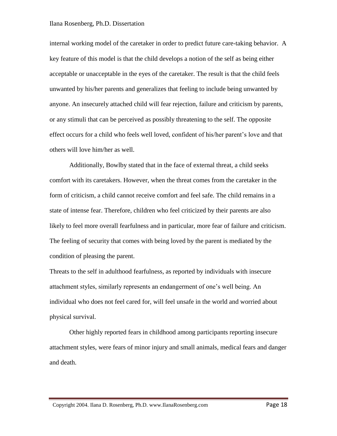internal working model of the caretaker in order to predict future care-taking behavior. A key feature of this model is that the child develops a notion of the self as being either acceptable or unacceptable in the eyes of the caretaker. The result is that the child feels unwanted by his/her parents and generalizes that feeling to include being unwanted by anyone. An insecurely attached child will fear rejection, failure and criticism by parents, or any stimuli that can be perceived as possibly threatening to the self. The opposite effect occurs for a child who feels well loved, confident of his/her parent's love and that others will love him/her as well.

Additionally, Bowlby stated that in the face of external threat, a child seeks comfort with its caretakers. However, when the threat comes from the caretaker in the form of criticism, a child cannot receive comfort and feel safe. The child remains in a state of intense fear. Therefore, children who feel criticized by their parents are also likely to feel more overall fearfulness and in particular, more fear of failure and criticism. The feeling of security that comes with being loved by the parent is mediated by the condition of pleasing the parent.

Threats to the self in adulthood fearfulness, as reported by individuals with insecure attachment styles, similarly represents an endangerment of one's well being. An individual who does not feel cared for, will feel unsafe in the world and worried about physical survival.

Other highly reported fears in childhood among participants reporting insecure attachment styles, were fears of minor injury and small animals, medical fears and danger and death.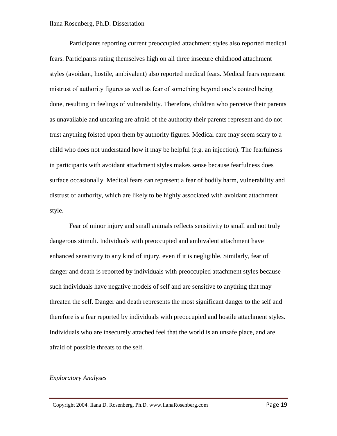Participants reporting current preoccupied attachment styles also reported medical fears. Participants rating themselves high on all three insecure childhood attachment styles (avoidant, hostile, ambivalent) also reported medical fears. Medical fears represent mistrust of authority figures as well as fear of something beyond one's control being done, resulting in feelings of vulnerability. Therefore, children who perceive their parents as unavailable and uncaring are afraid of the authority their parents represent and do not trust anything foisted upon them by authority figures. Medical care may seem scary to a child who does not understand how it may be helpful (e.g. an injection). The fearfulness in participants with avoidant attachment styles makes sense because fearfulness does surface occasionally. Medical fears can represent a fear of bodily harm, vulnerability and distrust of authority, which are likely to be highly associated with avoidant attachment style.

Fear of minor injury and small animals reflects sensitivity to small and not truly dangerous stimuli. Individuals with preoccupied and ambivalent attachment have enhanced sensitivity to any kind of injury, even if it is negligible. Similarly, fear of danger and death is reported by individuals with preoccupied attachment styles because such individuals have negative models of self and are sensitive to anything that may threaten the self. Danger and death represents the most significant danger to the self and therefore is a fear reported by individuals with preoccupied and hostile attachment styles. Individuals who are insecurely attached feel that the world is an unsafe place, and are afraid of possible threats to the self.

## *Exploratory Analyses*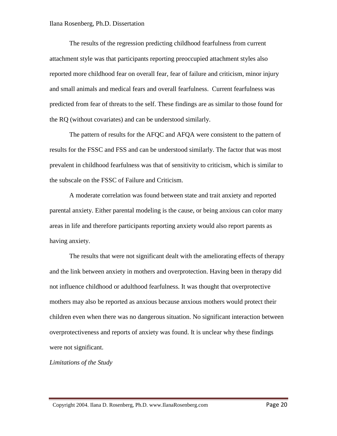The results of the regression predicting childhood fearfulness from current attachment style was that participants reporting preoccupied attachment styles also reported more childhood fear on overall fear, fear of failure and criticism, minor injury and small animals and medical fears and overall fearfulness. Current fearfulness was predicted from fear of threats to the self. These findings are as similar to those found for the RQ (without covariates) and can be understood similarly.

The pattern of results for the AFQC and AFQA were consistent to the pattern of results for the FSSC and FSS and can be understood similarly. The factor that was most prevalent in childhood fearfulness was that of sensitivity to criticism, which is similar to the subscale on the FSSC of Failure and Criticism.

A moderate correlation was found between state and trait anxiety and reported parental anxiety. Either parental modeling is the cause, or being anxious can color many areas in life and therefore participants reporting anxiety would also report parents as having anxiety.

The results that were not significant dealt with the ameliorating effects of therapy and the link between anxiety in mothers and overprotection. Having been in therapy did not influence childhood or adulthood fearfulness. It was thought that overprotective mothers may also be reported as anxious because anxious mothers would protect their children even when there was no dangerous situation. No significant interaction between overprotectiveness and reports of anxiety was found. It is unclear why these findings were not significant.

*Limitations of the Study*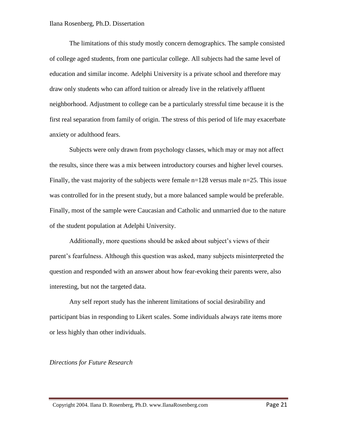The limitations of this study mostly concern demographics. The sample consisted of college aged students, from one particular college. All subjects had the same level of education and similar income. Adelphi University is a private school and therefore may draw only students who can afford tuition or already live in the relatively affluent neighborhood. Adjustment to college can be a particularly stressful time because it is the first real separation from family of origin. The stress of this period of life may exacerbate anxiety or adulthood fears.

Subjects were only drawn from psychology classes, which may or may not affect the results, since there was a mix between introductory courses and higher level courses. Finally, the vast majority of the subjects were female  $n=128$  versus male  $n=25$ . This issue was controlled for in the present study, but a more balanced sample would be preferable. Finally, most of the sample were Caucasian and Catholic and unmarried due to the nature of the student population at Adelphi University.

Additionally, more questions should be asked about subject's views of their parent's fearfulness. Although this question was asked, many subjects misinterpreted the question and responded with an answer about how fear-evoking their parents were, also interesting, but not the targeted data.

Any self report study has the inherent limitations of social desirability and participant bias in responding to Likert scales. Some individuals always rate items more or less highly than other individuals.

*Directions for Future Research*